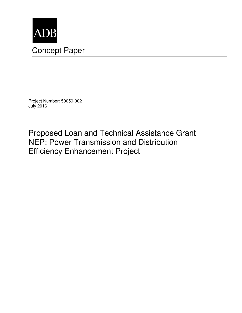

Project Number: 50059-002 July 2016

Proposed Loan and Technical Assistance Grant NEP: Power Transmission and Distribution Efficiency Enhancement Project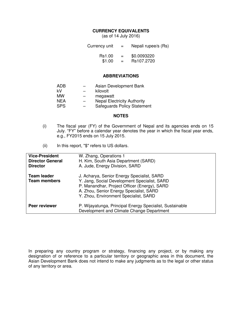#### **CURRENCY EQUIVALENTS**

(as of 14 July 2016)

Currency unit Rs1.00 \$1.00 = =  $=$ Nepali rupee/s (Rs) \$0.0093220 Rs107.2720

#### **ABBREVIATIONS**

| <b>ADB</b> |                          | Asian Development Bank             |
|------------|--------------------------|------------------------------------|
| kV         | $\overline{\phantom{0}}$ | kilovolt                           |
| <b>MW</b>  |                          | megawatt                           |
| <b>NEA</b> |                          | <b>Nepal Electricity Authority</b> |
| <b>SPS</b> | $\overline{\phantom{0}}$ | <b>Safeguards Policy Statement</b> |

#### **NOTES**

- (i) The fiscal year (FY) of the Government of Nepal and its agencies ends on 15 July. "FY" before a calendar year denotes the year in which the fiscal year ends, e.g., FY2015 ends on 15 July 2015.
- (ii) In this report, "\$" refers to US dollars.

| <b>Vice-President</b><br><b>Director General</b><br><b>Director</b> | W. Zhang, Operations 1<br>H. Kim, South Asia Department (SARD)<br>A. Jude, Energy Division, SARD                                                                                                                               |
|---------------------------------------------------------------------|--------------------------------------------------------------------------------------------------------------------------------------------------------------------------------------------------------------------------------|
| <b>Team leader</b><br><b>Team members</b>                           | J. Acharya, Senior Energy Specialist, SARD<br>Y. Jang, Social Development Specialist, SARD<br>P. Manandhar, Project Officer (Energy), SARD<br>A. Zhou, Senior Energy Specialist, SARD<br>Y. Zhou, Environment Specialist, SARD |
| Peer reviewer                                                       | P. Wijayatunga, Principal Energy Specialist, Sustainable<br>Development and Climate Change Department                                                                                                                          |

In preparing any country program or strategy, financing any project, or by making any designation of or reference to a particular territory or geographic area in this document, the Asian Development Bank does not intend to make any judgments as to the legal or other status of any territory or area.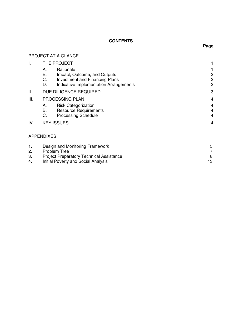# **CONTENTS**

## PROJECT AT A GLANCE

| I.             |                      | THE PROJECT                                                                                                                  |                                                    |
|----------------|----------------------|------------------------------------------------------------------------------------------------------------------------------|----------------------------------------------------|
|                | А.<br>В.<br>C.<br>D. | Rationale<br>Impact, Outcome, and Outputs<br><b>Investment and Financing Plans</b><br>Indicative Implementation Arrangements | $\overline{c}$<br>$\overline{c}$<br>$\overline{c}$ |
| ΙΙ.            |                      | DUE DILIGENCE REQUIRED                                                                                                       | 3                                                  |
| III.           | А.<br>В.<br>C.       | PROCESSING PLAN<br><b>Risk Categorization</b><br><b>Resource Requirements</b><br><b>Processing Schedule</b>                  | 4<br>4<br>4<br>4                                   |
| IV.            |                      | <b>KEY ISSUES</b>                                                                                                            | 4                                                  |
|                | <b>APPENDIXES</b>    |                                                                                                                              |                                                    |
| 1.<br>2.<br>3. |                      | Design and Monitoring Framework<br><b>Problem Tree</b><br><b>Project Preparatory Technical Assistance</b>                    | 5<br>7<br>8                                        |
|                |                      |                                                                                                                              |                                                    |

4. Initial Poverty and Social Analysis 13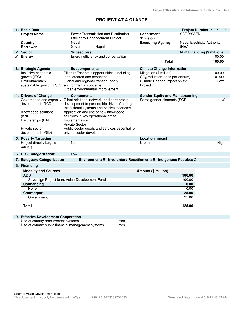# **PROJECT AT A GLANCE**

| 1. Basic Data                                   |                                                                                     |                                        | Project Number: 50059-002          |
|-------------------------------------------------|-------------------------------------------------------------------------------------|----------------------------------------|------------------------------------|
| <b>Project Name</b>                             | Power Transmission and Distribution                                                 | <b>Department</b>                      | SARD/SAEN                          |
|                                                 | <b>Efficiency Enhancement Project</b>                                               | /Division                              |                                    |
| Country                                         | Nepal                                                                               | <b>Executing Agency</b>                | <b>Nepal Electricity Authority</b> |
| <b>Borrower</b>                                 | Government of Nepal                                                                 |                                        | (NEA)                              |
| 2. Sector                                       | Subsector(s)                                                                        |                                        | <b>ADB Financing (\$ million)</b>  |
| Energy                                          | Energy efficiency and conservation                                                  |                                        | 100.00                             |
|                                                 |                                                                                     | <b>Total</b>                           | 100.00                             |
| 3. Strategic Agenda                             | <b>Subcomponents</b>                                                                | <b>Climate Change Information</b>      |                                    |
| Inclusive economic                              | Pillar 1: Economic opportunities, including                                         | Mitigation (\$ million)                | 100.00                             |
| growth (IEG)                                    | jobs, created and expanded                                                          | $CO2$ reduction (tons per annum)       | 10,000                             |
| Environmentally                                 | Global and regional transboundary                                                   | Climate Change impact on the           | Low                                |
| sustainable growth (ESG) environmental concerns |                                                                                     | Project                                |                                    |
|                                                 | Urban environmental improvement                                                     |                                        |                                    |
| 4. Drivers of Change                            | <b>Components</b>                                                                   | <b>Gender Equity and Mainstreaming</b> |                                    |
| Governance and capacity                         | Client relations, network, and partnership                                          | Some gender elements (SGE)             |                                    |
| development (GCD)                               | development to partnership driver of change                                         |                                        |                                    |
| Knowledge solutions                             | Institutional systems and political economy<br>Application and use of new knowledge |                                        |                                    |
| (KNS)                                           | solutions in key operational areas                                                  |                                        |                                    |
| Partnerships (PAR)                              | Implementation                                                                      |                                        |                                    |
|                                                 | <b>Private Sector</b>                                                               |                                        |                                    |
| Private sector                                  | Public sector goods and services essential for                                      |                                        |                                    |
| development (PSD)                               | private sector development                                                          |                                        |                                    |
| 5. Poverty Targeting                            |                                                                                     | <b>Location Impact</b>                 |                                    |
| Project directly targets                        | No                                                                                  | Urban                                  | High                               |
| poverty                                         |                                                                                     |                                        |                                    |
|                                                 |                                                                                     |                                        |                                    |
| 6. Risk Categorization:                         | Low                                                                                 |                                        |                                    |
| 7. Safeguard Categorization<br>8. Financing     | Environment: B Involuntary Resettlement: B Indigenous Peoples: C                    |                                        |                                    |
|                                                 |                                                                                     |                                        |                                    |
| <b>Modality and Sources</b><br><b>ADB</b>       |                                                                                     | Amount (\$ million)                    | 100.00                             |
|                                                 | Sovereign Project Ioan: Asian Development Fund                                      |                                        | 100.00                             |
| Cofinancing                                     |                                                                                     |                                        | 0.00                               |
| None                                            |                                                                                     |                                        | 0.00                               |
| Counterpart                                     |                                                                                     | 25.00                                  |                                    |
| Government                                      |                                                                                     |                                        | 25.00                              |
|                                                 |                                                                                     |                                        |                                    |
| Total                                           |                                                                                     |                                        | 125.00                             |
|                                                 |                                                                                     |                                        |                                    |
| 9. Effective Development Cooperation            |                                                                                     |                                        |                                    |
| Use of country procurement systems              | Yes                                                                                 |                                        |                                    |
|                                                 | Use of country public financial management systems<br>Yes                           |                                        |                                    |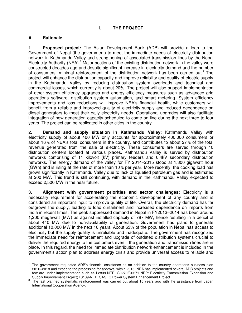# **I. THE PROJECT**

## **A. Rationale**

1. **Proposed project:** The Asian Development Bank (ADB) will provide a loan to the Government of Nepal (the government) to meet the immediate needs of electricity distribution network in Kathmandu Valley and strengthening of associated transmission lines by the Nepal Electricity Authority (NEA).<sup>1</sup> Major sections of the existing distribution network in the valley were constructed decades ago and despite significant increase in electricity demand and the number of consumers, minimal reinforcement of the distribution network has been carried out.<sup>2</sup> The project will enhance the distribution capacity and improve reliability and quality of electric supply in the Kathmandu Valley by reducing distribution system overloads and technical and commercial losses, which currently is about 20%. The project will also support implementation of other system efficiency upgrades and energy efficiency measures such as advanced grid operations software, distribution system automation, and smart metering. System efficiency improvements and loss reductions will improve NEA's financial health, while customers will benefit from a reliable and improved quality of electricity supply and reduced dependence on diesel generators to meet their daily electricity needs. Operational upgrades will also facilitate integration of new generation capacity scheduled to come on-line during the next three to four years. The project can be replicated in other cities in the country.

2. **Demand and supply situation in Kathmandu Valley:** Kathmandu Valley with electricity supply of about 400 MW only accounts for approximately 400,000 consumers or about 16% of NEA's total consumers in the country, and contributes to about 27% of the total revenue generated from the sale of electricity. These consumers are served through 10 distribution centers located at various places. Kathmandu Valley is served by distribution networks comprising of 11 kilovolt (kV) primary feeders and 0.4kV secondary distribution networks. The energy demand of the valley for FY 2014–2015 stood at 1,300 gigawatt hour (GWh) and is rising at the rate of more than 10% per year. More recently, the cooking load has grown significantly in Kathmandu Valley due to lack of liquefied petroleum gas and is estimated at 200 MW. This trend is still continuing, with demand in the Kathmandu Valley expected to exceed 2,500 MW in the near future.

3. **Alignment with government priorities and sector challenges:** Electricity is a necessary requirement for accelerating the economic development of any country and is considered an important input to improve quality of life. Overall, the electricity demand has far outgrown the supply, leading to load curtailment and increased dependence on imports from India in recent times. The peak suppressed demand in Nepal in FY2013–2014 has been around 1,200 megawatt (MW) as against installed capacity of 787 MW, hence resulting in a deficit of about 440 MW due to non-availability of generation. Government has plans to generate additional 10,000 MW in the next 10 years. About 63% of the population in Nepal has access to electricity but the supply quality is unreliable and inadequate. The government has recognized the immediate need for reinforcement and upgrade of outdated distribution systems crucial to deliver the required energy to the customers even if the generation and transmission lines are in place. In this regard, the need for immediate distribution network enhancement is included in the government's action plan to address energy crisis and provide universal access to reliable and

The government requested ADB's financial assistance as an addition to the country operations business plan 2016–2018 and expedite the processing for approval within 2016. NEA has implemented several ADB projects and few are under implementation such as L2808-NEP; G0270/G0271-NEP: Electricity Transmission Expansion and Supply Improvement Project; L3139-NEP: SASEC Power System Enhancement Project..

<sup>2</sup> The last planned systematic reinforcement was carried out about 15 years ago with the assistance from Japan International Cooperation Agency.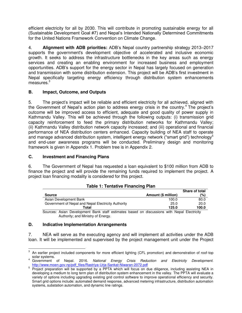efficient electricity for all by 2030. This will contribute in promoting sustainable energy for all (Sustainable Development Goal #7) and Nepal's Intended Nationally Determined Commitments for the United Nations Framework Convention on Climate Change.

4. **Alignment with ADB priorities:** ADB's Nepal country partnership strategy 2013–2017 supports the government's development objective of accelerated and inclusive economic growth. It seeks to address the infrastructure bottlenecks in the key areas such as energy services and creating an enabling environment for increased business and employment opportunities. ADB's support for the energy sector in Nepal has largely focused on generation and transmission with some distribution extension. This project will be ADB's first investment in Nepal specifically targeting energy efficiency through distribution system enhancements measures.<sup>3</sup>

## **B. Impact, Outcome, and Outputs**

5. The project's impact will be reliable and efficient electricity for all achieved, aligned with the Government of Nepal's action plan to address energy crisis in the country.<sup>4</sup> The project's outcome will be improved access to efficient, adequate and good quality of power supply in Kathmandu Valley. This will be achieved through the following outputs: (i) transmission grid capacity reinforcement to feed the primary distribution networks for Kathmandu Valley; (ii) Kathmandu Valley distribution network capacity increased; and (iii) operational and financial performance of NEA distribution centers enhanced. Capacity building of NEA staff to operate and manage advanced distribution system, intelligent energy network ("smart grid") technology<sup>5</sup> and end-user awareness programs will be conducted. Preliminary design and monitoring framework is given in Appendix 1. Problem tree is in Appendix 2.

## **C. Investment and Financing Plans**

6. The Government of Nepal has requested a loan equivalent to \$100 million from ADB to finance the project and will provide the remaining funds required to implement the project. A project loan financing modality is considered for this project.

|                                                                                               |                     | Share of total |
|-----------------------------------------------------------------------------------------------|---------------------|----------------|
| <b>Source</b>                                                                                 | Amount (\$ million) | (%)            |
| Asian Development Bank                                                                        | 100.0               | 80.0           |
| Government of Nepal and Nepal Electricity Authority                                           | 25.0                | 20.0           |
| Total                                                                                         | 125.0               | 100.0          |
| Courses: Asian Development Dank staff setimentes besard an discussione with Nemal Flastricity |                     |                |

#### **Table 1: Tentative Financing Plan**

Sources: Asian Development Bank staff estimates based on discussions with Nepal Electricity Authority; and Ministry of Energy.

## **D. Indicative Implementation Arrangements**

7. NEA will serve as the executing agency and will implement all activities under the ADB loan. It will be implemented and supervised by the project management unit under the Project

**EXECUTE:**<br><sup>3</sup> An earlier project included components for more efficient lighting (CFL promotion) and demonstration of roof-top solar systems.

<sup>4</sup> Government of Nepal. 2016. National Energy Crisis Reduction and Electricity Development. [http://www.moen.gov.np/pdf\\_files/Rastriya-Urja-Sankat-Niwaran-2072.pdf](http://www.moen.gov.np/pdf_files/Rastriya-Urja-Sankat-Niwaran-2072.pdf)

<sup>&</sup>lt;sup>5</sup> Project preparation will be supported by a PPTA which will focus on due diligence, including assisting NEA in developing a medium to long term plan of distribution system enhancement in the valley. The PPTA will evaluate a variety of options including upgrading existing grid control software to improve operational efficiency and security. Smart grid options include: automated demand response, advanced metering infrastructure, distribution automation systems, substation automation, and dynamic line ratings.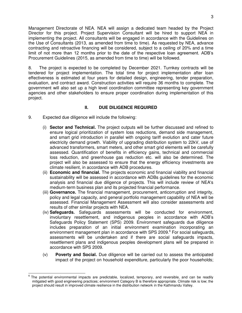Management Directorate of NEA. NEA will assign a dedicated team headed by the Project Director for this project. Project Supervision Consultant will be hired to support NEA in implementing the project. All consultants will be engaged in accordance with the Guidelines on the Use of Consultants (2013, as amended from time to time). As requested by NEA, advance contracting and retroactive financing will be considered, subject to a ceiling of 20% and a time limit of not more than 12 months prior to the date of the respective loan agreement. ADB's Procurement Guidelines (2015, as amended from time to time) will be followed.

8. The project is expected to be completed by December 2021. Turnkey contracts will be tendered for project implementation. The total time for project implementation after loan effectiveness is estimated at four years for detailed design, engineering, tender preparation, evaluation, and contract award. Construction activities will require 36 months to complete. The government will also set up a high level coordination committee representing key government agencies and other stakeholders to ensure proper coordination during implementation of this project.

## **II. DUE DILIGENCE REQUIRED**

- 9. Expected due diligence will include the following:
	- (i) **Sector and Technical.** The project outputs will be further discussed and refined to ensure logical prioritization of system loss reductions, demand side management, and smart grid introduction in parallel with ongoing tariff evolution and cater future electricity demand growth. Viability of upgrading distribution system to 22kV, use of advanced transformers, smart meters, and other smart grid elements will be carefully assessed. Quantification of benefits in efficiency gains, technical and commercial loss reduction, and greenhouse gas reduction etc. will also be determined. The project will also be assessed to ensure that the energy efficiency investments are climate resilient, in accordance with ADB procedures.
	- (ii) **Economic and financial.** The projects economic and financial viability and financial sustainability will be assessed in accordance with ADBs guidelines for the economic analysis and financial due diligence of projects. This will include review of NEA's medium-term business plan and its projected financial performance.
	- (iii) **Governance.** The financial management, procurement, anticorruption and integrity, policy and legal capacity, and general portfolio management capability of NEA will be assessed. Financial Management Assessment will also consider assessments and results of other similar projects with NEA.
	- (iv) **Safeguards.** Safeguards assessments will be conducted for environment, involuntary resettlement, and indigenous peoples in accordance with ADB's Safeguards Policy Statement (SPS) 2009. Environment safeguards due diligence includes preparation of an initial environment examination incorporating an environment management plan in accordance with SPS 2009. $<sup>6</sup>$  For social safeguards,</sup> assessments will be undertaken and if there are social safeguards impacts, resettlement plans and indigenous peoples development plans will be prepared in accordance with SPS 2009.
	- (v) **Poverty and Social.** Due diligence will be carried out to assess the anticipated impact of the project on household expenditure, particularly the poor households;

**EXECTS**<br>6 The potential environmental impacts are predictable, localized, temporary, and reversible, and can be readily mitigated with good engineering practices; environment Category B is therefore appropriate. Climate risk is low; the project should result in improved climate resilience in the distribution network in the Kathmandu Valley.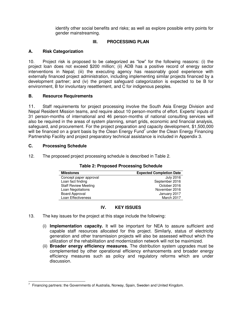identify other social benefits and risks; as well as explore possible entry points for gender mainstreaming.

## **III. PROCESSING PLAN**

## **A. Risk Categorization**

10. Project risk is proposed to be categorized as "low" for the following reasons: (i) the project loan does not exceed \$200 million; (ii) ADB has a positive record of energy sector interventions in Nepal; (iii) the executing agency has reasonably good experience with externally financed project administration, including implementing similar projects financed by a development partner; and (iv) the project safeguard categorization is expected to be B for environment, B for involuntary resettlement, and C for indigenous peoples.

## **B. Resource Requirements**

11. Staff requirements for project processing involve the South Asia Energy Division and Nepal Resident Mission teams, and require about 10 person-months of effort. Experts' inputs of 31 person-months of international and 46 person-months of national consulting services will also be required in the areas of system planning, smart grids, economic and financial analysis, safeguard, and procurement. For the project preparation and capacity development, \$1,500,000 will be financed on a grant basis by the Clean Energy Fund<sup>7</sup> under the Clean Energy Financing Partnership Facility and project preparatory technical assistance is included in Appendix 3.

## **C. Processing Schedule**

12. The proposed project processing schedule is described in Table 2.

| <b>Milestones</b>           | <b>Expected Completion Date</b> |
|-----------------------------|---------------------------------|
| Concept paper approval      | July 2016                       |
| Loan fact finding           | September 2016                  |
| <b>Staff Review Meeting</b> | October 2016                    |
| Loan Negotiations           | November 2016                   |
| Board Approval              | January 2017                    |
| Loan Effectiveness          | March 2017                      |

## **Table 2: Proposed Processing Schedule**

## **IV. KEY ISSUES**

- 13. The key issues for the project at this stage include the following:
	- (i) **Implementation capacity.** It will be important for NEA to assure sufficient and capable staff resources allocated for this project. Similarly, status of electricity generation and other transmission projects will also be assessed without which the utilization of the rehabilitation and modernization network will not be maximized.
	- (ii) **Broader energy efficiency measures.** The distribution system upgrades must be complemented by other operational efficiency enhancements and broader energy efficiency measures such as policy and regulatory reforms which are under discussion.

Turity Timancing partners: the Governments of Australia, Norway, Spain, Sweden and United Kingdom.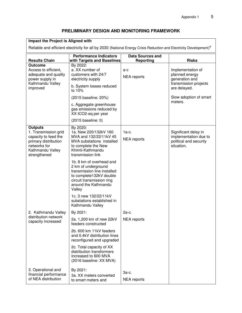# **PRELIMINARY DESIGN AND MONITORING FRAMEWORK**

# **Impact the Project is Aligned with**

Reliable and efficient electricity for all by 2030 (National Energy Crisis Reduction and Electricity Development)<sup>a</sup>

|                                                                                                                                            | <b>Performance Indicators</b>                                                                                                                                            | <b>Data Sources and</b>       |                                                                                       |
|--------------------------------------------------------------------------------------------------------------------------------------------|--------------------------------------------------------------------------------------------------------------------------------------------------------------------------|-------------------------------|---------------------------------------------------------------------------------------|
| <b>Results Chain</b><br><b>Outcome</b>                                                                                                     | with Targets and Baselines<br>By 2022:                                                                                                                                   | <b>Reporting</b>              | <b>Risks</b>                                                                          |
| Access to efficient,<br>adequate and quality<br>power supply in<br>Kathmandu Valley<br>improved                                            | a. XX number of<br>customers with 24/7<br>electricity supply                                                                                                             | $a-c$<br><b>NEA</b> reports   | Implementation of<br>planned energy<br>generation and                                 |
|                                                                                                                                            | b. System losses reduced<br>to 10%                                                                                                                                       |                               | transmission projects<br>are delayed.                                                 |
|                                                                                                                                            | (2015 baseline: 20%)                                                                                                                                                     |                               | Slow adoption of smart                                                                |
|                                                                                                                                            | c. Aggregate greenhouse<br>gas emissions reduced by<br>XX tCO2-eq per year                                                                                               |                               | meters.                                                                               |
|                                                                                                                                            | (2015 baseline: 0)                                                                                                                                                       |                               |                                                                                       |
| <b>Outputs</b><br>1. Transmission grid<br>capacity to feed the<br>primary distribution<br>networks for<br>Kathmandu Valley<br>strengthened | By 2020:<br>1a. New 220/132kV 160<br>MVA and 132/22/11kV 45<br>MVA substations installed<br>to complete the New<br>Khimti-Kathmandu<br>transmission link                 | $1a-c.$<br><b>NEA</b> reports | Significant delay in<br>implementation due to<br>political and security<br>situation. |
|                                                                                                                                            | 1b. 8 km of overhead and<br>2 km of underground<br>transmission line installed<br>to complete132kV double<br>circuit transmission ring<br>around the Kathmandu<br>Valley |                               |                                                                                       |
|                                                                                                                                            | 1c. 3 new 132/22/11kV<br>substations established in<br>Kathmandu Valley                                                                                                  |                               |                                                                                       |
| 2. Kathmandu Valley                                                                                                                        | By 2021:                                                                                                                                                                 | 2a-c.                         |                                                                                       |
| distribution network<br>capacity increased                                                                                                 | 2a. 1,200 km of new 22kV<br>feeders constructed                                                                                                                          | <b>NEA</b> reports            |                                                                                       |
|                                                                                                                                            | 2b. 600 km 11kV feeders<br>and 0.4kV distribution lines<br>reconfigured and upgraded                                                                                     |                               |                                                                                       |
|                                                                                                                                            | 2c. Total capacity of XX<br>distribution transformers<br>increased to 600 MVA<br>(2016 baseline: XX MVA)                                                                 |                               |                                                                                       |
| 3. Operational and<br>financial performance<br>of NEA distribution                                                                         | By 2021:<br>3a. XX meters converted<br>to smart meters and                                                                                                               | 3a-c.<br><b>NEA</b> reports   |                                                                                       |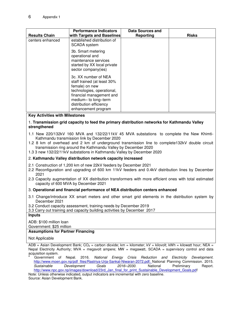| <b>Results Chain</b> | <b>Performance Indicators</b><br><b>with Targets and Baselines</b>                                                                                                                                       | <b>Data Sources and</b><br>Reporting | <b>Risks</b> |
|----------------------|----------------------------------------------------------------------------------------------------------------------------------------------------------------------------------------------------------|--------------------------------------|--------------|
| centers enhanced     | established distribution of<br><b>SCADA</b> system                                                                                                                                                       |                                      |              |
|                      | 3b. Smart metering<br>operational and<br>maintenance services<br>started by XX local private<br>sector company(ies)                                                                                      |                                      |              |
|                      | 3c. XX number of NEA<br>staff trained (at least 30%<br>female) on new<br>technologies, operational,<br>financial management and<br>medium-to long-term<br>distribution efficiency<br>enhancement program |                                      |              |

#### **Key Activities with Milestones**

#### 1. **Transmission grid capacity to feed the primary distribution networks for Kathmandu Valley strengthened**

- 1.1 New 220/132kV 160 MVA and 132/22/11kV 45 MVA substations to complete the New Khimti-Kathmandu transmission link by December 2020
- 1.2 8 km of overhead and 2 km of underground transmission line to complete132kV double circuit transmission ring around the Kathmandu Valley by December 2020
- 1.3 3 new 132/22/11kV substations in Kathmandu Valley by December 2020

#### 2. **Kathmandu Valley distribution network capacity increased**

- 2.1 Construction of 1,200 km of new 22kV feeders by December 2021
- 2.2 Reconfiguration and upgrading of 600 km 11kV feeders and 0.4kV distribution lines by December 2021
- 2.3 Capacity augmentation of XX distribution transformers with more efficient ones with total estimated capacity of 600 MVA by December 2021

#### 3. **Operational and financial performance of NEA distribution centers enhanced**

- 3.1 Change/introduce XX smart meters and other smart grid elements in the distribution system by December 2021
- 3.2 Conduct capacity assessment, training needs by December 2019

3.3 Carry out training and capacity building activities by December 2017

#### **Inputs**

ADB: \$100 million loan

Government: \$25 million

#### **Assumptions for Partner Financing**

#### Not Applicable

ADB = Asian Development Bank;  $CO<sub>2</sub>$  = carbon dioxide; km = kilometer; kV = kilovolt; kWh = kilowatt hour; NEA = Nepal Electricity Authority; MVA = megavolt ampere; MW = megawatt, SCADA = supervisory control and data acquisition system.

a Government of Nepal. 2016. *National Energy Crisis Reduction and Electricity Development*. [http://www.moen.gov.np/pdf\\_files/Rastriya-Urja-Sankat-Niwaran-2072.pdf;](http://www.moen.gov.np/pdf_files/Rastriya-Urja-Sankat-Niwaran-2072.pdf) National Planning Commission. 2015. *Sustainable Development Goals 2016–2030*. National Preliminary Report. [http://www.npc.gov.np/images/download/23rd\\_Jan\\_final\\_for\\_print\\_Sustainable\\_Development\\_Goals.pdf](http://www.npc.gov.np/images/download/23rd_Jan_final_for_print_Sustainable_Development_Goals.pdf)

Note: Unless otherwise indicated, output indicators are incremental with zero baseline. Source: Asian Development Bank.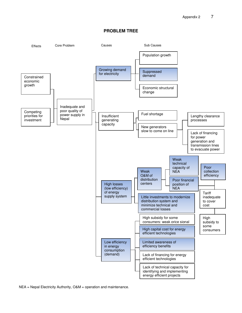#### **PROBLEM TREE**

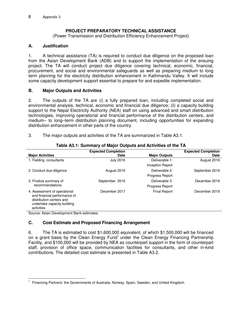## **PROJECT PREPARATORY TECHNICAL ASSISTANCE**

(Power Transmission and Distribution Efficiency Enhancement Project)

## **A. Justification**

1. A technical assistance (TA) is required to conduct due diligence on the proposed loan from the Asian Development Bank (ADB) and to support the implementation of the ensuing project. The TA will conduct project due diligence covering technical, economic, financial, procurement, and social and environmental safeguards as well as preparing medium to long term planning for the electricity distribution enhancement in Kathmandu Valley. It will include some capacity development support essential to prepare for and expedite implementation.

## **B. Major Outputs and Activities**

2. The outputs of the TA are (i) a fully prepared loan, including completed social and environmental analysis, technical, economic and financial due diligence; (ii) a capacity building support to the Nepal Electricity Authority (NEA) staff on using advanced and smart distribution technologies, improving operational and financial performance of the distribution centers, and medium– to long–term distribution planning document, including opportunities for expanding distribution enhancement in other parts of the country.

| 3. | The major outputs and activities of the TA are summarized in Table A3.1. |  |  |  |
|----|--------------------------------------------------------------------------|--|--|--|
|----|--------------------------------------------------------------------------|--|--|--|

|                                                                                                                                       | <b>Expected Completion</b> |                        | <b>Expected Completion</b> |
|---------------------------------------------------------------------------------------------------------------------------------------|----------------------------|------------------------|----------------------------|
| <b>Major Activities</b>                                                                                                               | <b>Date</b>                | <b>Major Outputs</b>   | Date                       |
| 1. Fielding consultants                                                                                                               | <b>July 2016</b>           | Deliverable 1:         | August 2016                |
|                                                                                                                                       |                            | Inception Report       |                            |
| 2. Conduct due diligence                                                                                                              | August 2016                | Deliverable 2:         | September 2016             |
|                                                                                                                                       |                            | <b>Progress Report</b> |                            |
| 3. Finalize summary of                                                                                                                | September 2016             | Deliverable 3:         | December 2016              |
| recommendations                                                                                                                       |                            | <b>Progress Report</b> |                            |
| 4. Assessment of operational<br>and financial performance of<br>distribution centers and<br>undertake capacity building<br>activities | December 2017              | <b>Final Report</b>    | December 2019              |

## **Table A3.1: Summary of Major Outputs and Activities of the TA**

Source: Asian Development Bank estimates.

## **C. Cost Estimate and Proposed Financing Arrangement**

6. The TA is estimated to cost \$1,600,000 equivalent, of which \$1,500,000 will be financed on a grant basis by the Clean Energy Fund<sup>1</sup> under the Clean Energy Financing Partnership Facility, and \$100,000 will be provided by NEA as counterpart support in the form of counterpart staff, provision of office space, communication facilities for consultants, and other in-kind contributions. The detailed cost estimate is presented in Table A3.2.

 $\overline{a}$ 1 Financing Partners: the Governments of Australia, Norway, Spain, Sweden, and United Kingdom.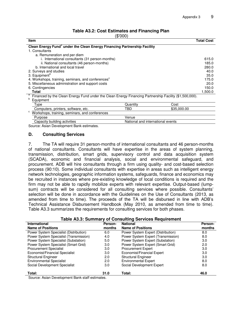#### **Table A3.2: Cost Estimates and Financing Plan**

| \$'000 |  |  |
|--------|--|--|
|        |  |  |

| ιΨ UU ,                                                                                                |                                   |             |                   |
|--------------------------------------------------------------------------------------------------------|-----------------------------------|-------------|-------------------|
| <b>Item</b>                                                                                            |                                   |             | <b>Total Cost</b> |
| Clean Energy Fund <sup>a</sup> under the Clean Energy Financing Partnership Facility                   |                                   |             |                   |
| 1. Consultants                                                                                         |                                   |             |                   |
| a. Remuneration and per diem                                                                           |                                   |             |                   |
| i. International consultants (31 person-months)                                                        |                                   |             | 615.0             |
| ii. National consultants (46 person-months)                                                            |                                   |             | 185.0             |
| b. International and local travel                                                                      |                                   |             | 280.0             |
| 2. Surveys and studies                                                                                 |                                   |             | 40.0              |
| 3. Equipment <sup>b</sup>                                                                              |                                   |             | 35.0              |
| 4. Workshops, training, seminars, and conferences <sup>c</sup>                                         |                                   |             | 175.0             |
| 5. Miscellaneous administration and support costs                                                      |                                   |             | 20.0              |
| 6. Contingencies                                                                                       |                                   |             | 150.0             |
| <b>Total</b>                                                                                           |                                   |             | 1,500.0           |
| Financed by the Clean Energy Fund under the Clean Energy Financing Partnership Facility (\$1,500,000). |                                   |             |                   |
| b<br>Equipment                                                                                         |                                   |             |                   |
| Type                                                                                                   | Quantity                          | Cost        |                   |
| Computers, printers, software, etc.                                                                    | TBD                               | \$35,000.00 |                   |
| c<br>Workshops, training, seminars, and conferences                                                    |                                   |             |                   |
| Purpose                                                                                                | Venue                             |             |                   |
| Capacity building activities                                                                           | National and international events |             |                   |
| Source: Asian Development Bank estimates                                                               |                                   |             |                   |

Source: Asian Development Bank estimates.

#### **D. Consulting Services**

7. The TA will require 31 person-months of international consultants and 46 person-months of national consultants. Consultants will have expertise in the areas of system planning, transmission, distribution, smart grids, supervisory control and data acquisition system (SCADA), economic and financial analysis, social and environmental safeguard, and procurement. ADB will hire consultants through a firm using quality- and cost-based selection process (90:10). Some individual consultants with expertise in areas such as intelligent energy network technologies, geographic information systems, safeguards, finance and economics may be recruited in instances where pre-existing knowledge of local conditions is required and the firm may not be able to rapidly mobilize experts with relevant expertise. Output-based (lumpsum) contracts will be considered for all consulting services where possible. Consultants' selection will be done in accordance with the Guidelines on the Use of Consultants (2013, as amended from time to time). The proceeds of the TA will be disbursed in line with ADB's Technical Assistance Disbursement Handbook (May 2010, as amended from time to time). Table A3.3 summarizes the requirements for consulting services for both phases.

| International                          | Person-          | <b>National</b>                    | Person- |  |  |  |
|----------------------------------------|------------------|------------------------------------|---------|--|--|--|
| <b>Name of Positions</b>               | months           | <b>Name of Positions</b>           | months  |  |  |  |
| Power System Specialist (Distribution) | 6.0              | Power System Expert (Distribution) | 8.0     |  |  |  |
| Power System Specialist (Transmission) | 4.0              | Power System Expert (Transmission) | 8.0     |  |  |  |
| Power System Specialist (Substation)   | 5.0              | Power System Expert (Substation)   | 3.0     |  |  |  |
| Power System Specialist (Smart Grid)   | 3.0 <sub>2</sub> | Power System Expert (Smart Grid)   | 2.0     |  |  |  |
| <b>Procurement Specialist</b>          | 3.0              | <b>Procurement Expert</b>          | 3.0     |  |  |  |
| Economist/Financial Specialist         | 3.0              | Economist/Financial Expert         | 3.0     |  |  |  |
| <b>Structural Engineer</b>             | 2.0              | <b>Structural Engineer</b>         | 3.0     |  |  |  |
| <b>Environmental Specialist</b>        | 2.0              | <b>Environmental Expert</b>        | 8.0     |  |  |  |

Social Development Specialist 3.0 Social Development Expert 8.0 Social Development Expert 8.0

**Total: 31.0 Total: 46.0** 

#### **Table A3.3: Summary of Consulting Services Requirement**

Source: Asian Development Bank staff estimates.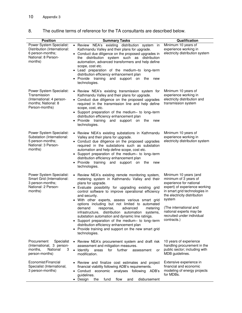| <b>Position</b>                                                                                                | <b>Summary Tasks</b>                                                                                                                                                                                                                                                                                                                                                                                                                                                                                                                                                                                                                                                                                                   | Qualification                                                                                                                                                                                                                                                                           |
|----------------------------------------------------------------------------------------------------------------|------------------------------------------------------------------------------------------------------------------------------------------------------------------------------------------------------------------------------------------------------------------------------------------------------------------------------------------------------------------------------------------------------------------------------------------------------------------------------------------------------------------------------------------------------------------------------------------------------------------------------------------------------------------------------------------------------------------------|-----------------------------------------------------------------------------------------------------------------------------------------------------------------------------------------------------------------------------------------------------------------------------------------|
| Power System Specialist:<br>Distribution (International:<br>6 person-months;<br>National: 8 Person-<br>months) | • Review NEA's existing distribution system<br>in<br>Kathmandu Valley and their plans for upgrade.<br>• Conduct due diligence on the proposed upgrades in<br>distribution system such as distribution<br>the<br>automation, advanced transformers and help define<br>scope, cost etc.<br>• Lead preparation of the medium-to long-term<br>distribution efficiency enhancement plan<br>• Provide training<br>and<br>support on<br>the<br>new<br>technologies.                                                                                                                                                                                                                                                           | Minimum 10 years of<br>experience working in<br>electricity distribution system                                                                                                                                                                                                         |
| Power System Specialist:<br>Transmission<br>(International: 4 person-<br>months; National: 8<br>Person-months) | • Review NEA's existing transmission system for<br>Kathmandu Valley and their plans for upgrade.<br>• Conduct due diligence on the proposed upgrades<br>required in the transmission line and help define<br>scope, cost, etc.<br>Support preparation of the medium- to long-term<br>distribution efficiency enhancement plan<br>Provide training<br>support<br>and<br>on<br>the<br>new<br>technologies.                                                                                                                                                                                                                                                                                                               | Minimum 10 years of<br>experience working in<br>electricity distribution and<br>transmission system                                                                                                                                                                                     |
| Power System Specialist:<br>Substation (International:<br>5 person-months;<br>National: 3 Person-<br>months)   | • Review NEA's existing substations in Kathmandu<br>Valley and their plans for upgrade.<br>• Conduct due diligence on the proposed upgrades<br>required in the substations such as substation<br>automation and help define scope, cost etc.<br>Support preparation of the medium- to long-term<br>$\bullet$<br>distribution efficiency enhancement plan<br>Provide training<br>and support on<br>the<br>new<br>technologies.                                                                                                                                                                                                                                                                                          | Minimum 10 years of<br>experience working in<br>electricity distribution system                                                                                                                                                                                                         |
| Power System Specialist:<br>Smart Grid (International:<br>3 person-months;<br>National: 2 Person-<br>months)   | Review NEA's existing remote monitoring system,<br>$\bullet$<br>metering system in Kathmandu Valley and their<br>plans for upgrade.<br>• Evaluate possibility for upgrading existing grid<br>control software to improve operational efficiency<br>and security.<br>With other experts, assess various smart grid<br>$\bullet$<br>options including but not limited to automated<br>advanced<br>demand<br>metering<br>response,<br>distribution automation<br>infrastructure,<br>systems,<br>substation automation and dynamic line ratings.<br>• Support preparation of the medium- to long-term<br>distribution efficiency enhancement plan<br>• Provide training and support on the new smart grid<br>technologies. | Minimum 10 years (and<br>minimum of 3 years of<br>experience for national<br>expert) of experience working<br>in smart grid technologies in<br>the electricity distribution<br>system<br>(The international and<br>national experts may be<br>recruited under individual<br>contracts.) |
| Procurement<br>Specialist<br>(International, 3 person-<br>National<br>months,<br>3<br>person-months)           | Review NEA's procurement system and draft risk<br>$\bullet$<br>assessment and mitigation measures.<br>• Identify<br>further<br>areas<br>for<br>assessment<br>or<br>modification.                                                                                                                                                                                                                                                                                                                                                                                                                                                                                                                                       | 10 years of experience<br>handling procurement in the<br>public sector; including with<br>MDB guidelines.                                                                                                                                                                               |
| Economist/Financial<br>Specialist (International,<br>3 person-months)                                          | Review and finalize cost estimates and project<br>financial viability following ADB's requirements.<br>Conduct economic<br>analyses following ADB's<br>guidelines.<br>Design<br>flow<br>disbursement<br>the<br>fund<br>and<br>$\bullet$                                                                                                                                                                                                                                                                                                                                                                                                                                                                                | Extensive experience in<br>financial and economic<br>modeling of energy projects<br>for MDBs.                                                                                                                                                                                           |

# 8. The outline terms of reference for the TA consultants are described below.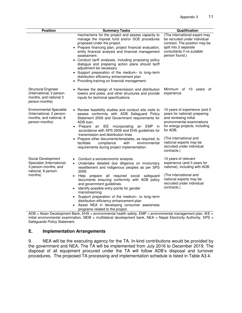| <b>Position</b>                                                                                                  | <b>Summary Tasks</b>                                                                                                                                                                                                                                                                                                                                                                                                                                                                                                                                                                                                                       | Qualification                                                                                                                                                                                                                                                         |
|------------------------------------------------------------------------------------------------------------------|--------------------------------------------------------------------------------------------------------------------------------------------------------------------------------------------------------------------------------------------------------------------------------------------------------------------------------------------------------------------------------------------------------------------------------------------------------------------------------------------------------------------------------------------------------------------------------------------------------------------------------------------|-----------------------------------------------------------------------------------------------------------------------------------------------------------------------------------------------------------------------------------------------------------------------|
|                                                                                                                  | mechanisms for the project and assess capacity to<br>manage the imprest fund and/or SOE procedures<br>proposed under the project.<br>Prepare financing plan, project financial evaluation,<br>entity financial analysis and financial management<br>assessment.<br>Conduct tariff analyses, including proposing policy<br>dialogue and preparing action plans should tariff<br>adjustment be necessary<br>• Support preparation of the medium- to long-term<br>distribution efficiency enhancement plan<br>Providing training on financial management.                                                                                     | (The international expert may<br>be recruited under individual<br>contract. The position may be<br>split into 2 separate<br>consultants if no suitable<br>person found.)                                                                                              |
| <b>Structural Engineer</b><br>(International, 2 person-<br>months, and national 3<br>person-months)              | • Review the design of transmission and distribution<br>towers and poles, and other structures and provide<br>inputs for technical specifications.                                                                                                                                                                                                                                                                                                                                                                                                                                                                                         | Minimum of 10 years<br>of<br>experience                                                                                                                                                                                                                               |
| <b>Environmental Specialist</b><br>(International, 2 person-<br>months, and national, 8<br>person-months)        | • Review feasibility studies and conduct site visits to<br>assess conformity with ADB Safeguard Policy<br>Statement 2009 and Government requirements for<br>ADB loan.<br>Prepare an IEE incorporating<br>EMP<br>an<br>in<br>$\bullet$<br>accordance with SPS 2009 and EHS guidelines for<br>transmission and distribution lines<br>Prepare other documents/templates, as required, to<br>facilitate<br>compliance<br>with<br>environmental<br>requirements during project implementation.                                                                                                                                                  | 10 years of experience (and 3<br>years for national) preparing<br>and reviewing initial<br>environmental examinations<br>for energy projects, including<br>for ADB.<br>(The international and<br>national experts may be<br>recruited under individual<br>contracts.) |
| Social Development<br>Specialist (International,<br>3 person-months, and<br>national, 8 person-<br>months)<br>nn | Conduct a socioeconomic analysis.<br>Undertake detailed due diligence on involuntary<br>$\bullet$<br>resettlement and indigenous peoples as per SPS<br>2009.<br>Help prepare all required social safeguard<br>$\bullet$<br>documents ensuring conformity with ADB policy<br>and government guidelines.<br>Identify possible entry points for gender<br>$\bullet$<br>mainstreaming.<br>Support preparation of the medium- to long-term<br>distribution efficiency enhancement plan<br>Assist NEA in developing consumer awareness<br>programs related to the project.<br>and due was a what look all be a short. CAAD<br>$D = 16$ $F = 100$ | 10 years of relevant<br>experience (and 3 years for<br>national), including with ADB.<br>(The international and<br>national experts may be<br>recruited under individual<br>contracts.)<br>المقمرم ممرمز معائر رمزم                                                   |

ADB = Asian Development Bank, EHS = environmental health safety, EMP = environmental management plan, IEE = initial environmental examination, MDB = multilateral development bank, NEA = Nepal Electricity Authority, SPS = Safeguards Policy Statement.

## **E. Implementation Arrangements**

9. NEA will be the executing agency for the TA. In-kind contributions would be provided by the government and NEA. The TA will be implemented from July 2016 to December 2019. The disposal of all equipment procured under the TA will follow ADB's disposal and turnover procedures. The proposed TA processing and implementation schedule is listed in Table A3.4.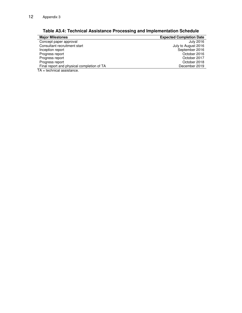| <b>Major Milestones</b>                    | <b>Expected Completion Date</b> |
|--------------------------------------------|---------------------------------|
| Concept paper approval                     | July 2016                       |
| Consultant recruitment start               | July to August 2016             |
| Inception report                           | September 2016                  |
| Progress report                            | October 2016                    |
| Progress report                            | October 2017                    |
| Progress report                            | October 2018                    |
| Final report and physical completion of TA | December 2019                   |
| — A . I . I                                |                                 |

**Table A3.4: Technical Assistance Processing and Implementation Schedule**

TA = technical assistance.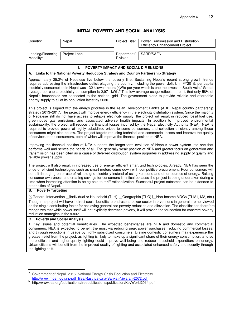# **INITIAL POVERTY AND SOCIAL ANALYSIS**

| Country:                                                                                                                                                                                                                                                                                                                                                                                                                                                                                                                                                                                                                                                                | Nepal                                                                                   | Project Title:           | Power Transmission and Distribution<br><b>Efficiency Enhancement Project</b>                                                                                                                                                                                                                                                                                                                                                                                                                                                                                                                                                                                                                                                                                                                                                                                                                                                                                                                                                                                                                                                                                                                                           |
|-------------------------------------------------------------------------------------------------------------------------------------------------------------------------------------------------------------------------------------------------------------------------------------------------------------------------------------------------------------------------------------------------------------------------------------------------------------------------------------------------------------------------------------------------------------------------------------------------------------------------------------------------------------------------|-----------------------------------------------------------------------------------------|--------------------------|------------------------------------------------------------------------------------------------------------------------------------------------------------------------------------------------------------------------------------------------------------------------------------------------------------------------------------------------------------------------------------------------------------------------------------------------------------------------------------------------------------------------------------------------------------------------------------------------------------------------------------------------------------------------------------------------------------------------------------------------------------------------------------------------------------------------------------------------------------------------------------------------------------------------------------------------------------------------------------------------------------------------------------------------------------------------------------------------------------------------------------------------------------------------------------------------------------------------|
| Lending/Financing<br>Modality:                                                                                                                                                                                                                                                                                                                                                                                                                                                                                                                                                                                                                                          | Project Loan                                                                            | Department/<br>Division: | SARD/SAEN                                                                                                                                                                                                                                                                                                                                                                                                                                                                                                                                                                                                                                                                                                                                                                                                                                                                                                                                                                                                                                                                                                                                                                                                              |
|                                                                                                                                                                                                                                                                                                                                                                                                                                                                                                                                                                                                                                                                         | L.<br>POVERTY IMPACT AND SOCIAL DIMENSIONS                                              |                          |                                                                                                                                                                                                                                                                                                                                                                                                                                                                                                                                                                                                                                                                                                                                                                                                                                                                                                                                                                                                                                                                                                                                                                                                                        |
|                                                                                                                                                                                                                                                                                                                                                                                                                                                                                                                                                                                                                                                                         | A. Links to the National Poverty Reduction Strategy and Country Partnership Strategy    |                          |                                                                                                                                                                                                                                                                                                                                                                                                                                                                                                                                                                                                                                                                                                                                                                                                                                                                                                                                                                                                                                                                                                                                                                                                                        |
|                                                                                                                                                                                                                                                                                                                                                                                                                                                                                                                                                                                                                                                                         | energy supply to all of its population latest by 2030.                                  |                          | Approximately 25.2% of Nepalese live below the poverty line. Sustaining Nepal's recent strong growth trends<br>requires addressing the infrastructure deficit plaguing the country, including the power deficit. In FY2015, per capita<br>electricity consumption in Nepal was 132 kilowatt hours (kWh) per year which is one the lowest in South Asia. <sup>a</sup> Global<br>average per capita electricity consumption is 2,971 kWh. <sup>b</sup> This low average usage reflects, in part, that only 58% of<br>Nepal's households are connected to the national grid. The government plans to provide reliable and affordable                                                                                                                                                                                                                                                                                                                                                                                                                                                                                                                                                                                      |
|                                                                                                                                                                                                                                                                                                                                                                                                                                                                                                                                                                                                                                                                         | of services to the consumers, both of which will improve the financial position of NEA. |                          | This project is aligned with the energy priorities in the Asian Development Bank's (ADB) Nepal country partnership<br>strategy 2013-2017. The project will improve energy efficiency in the electricity distribution system. Since the majority<br>of Nepalese still do not have access to reliable electricity supply, the project will result in reduced fossil fuel use,<br>greenhouse gas emissions, and associated adverse health impacts. In addition to improved environmental<br>sustainability, the project will reduce the financial losses incurred by the Nepal Electricity Authority (NEA). NEA is<br>required to provide power at highly subsidized prices to some consumers, and collection efficiency among these<br>consumers might also be low. The project targets reducing technical and commercial losses and improve the quality<br>Improving the financial position of NEA supports the longer-term evolution of Nepal's power system into one that<br>performs well and serves the needs of all. The generally weak position of NEA and greater focus on generation and<br>transmission has been cited as a cause of deferred distribution system upgrades in addressing supply of quality and |
| reliable power supply.<br>The project will also result in increased use of energy efficient smart grid technologies. Already, NEA has seen the<br>price of efficient technologies such as smart meters come down with competitive procurement. Poor consumers will<br>benefit through greater use of reliable grid electricity instead of using kerosene and other sources of energy. Raising<br>consumer awareness and creating savings for consumers is critical because the project is being undertaken during a<br>time when increasing attention is being paid to tariff rationalization. Successful project outcomes can be extended to<br>other cities of Nepal. |                                                                                         |                          |                                                                                                                                                                                                                                                                                                                                                                                                                                                                                                                                                                                                                                                                                                                                                                                                                                                                                                                                                                                                                                                                                                                                                                                                                        |
| <b>Poverty Targeting</b><br>В.                                                                                                                                                                                                                                                                                                                                                                                                                                                                                                                                                                                                                                          |                                                                                         |                          |                                                                                                                                                                                                                                                                                                                                                                                                                                                                                                                                                                                                                                                                                                                                                                                                                                                                                                                                                                                                                                                                                                                                                                                                                        |
| reduction strategies in the future.                                                                                                                                                                                                                                                                                                                                                                                                                                                                                                                                                                                                                                     |                                                                                         |                          | ⊠General Intervention Individual or Household (TI-H) I Geographic (TI-G) I Non-Income MDGs (TI-M1, M2, etc.)<br>Though the project will have indirect social benefits to end-users, power sector interventions in general are not viewed<br>as the single contributing factor for achieving generalized poverty reduction and alleviation. The classification therefore<br>recognizes that while power itself will not explicitly decrease poverty, it will provide the foundation for concrete poverty                                                                                                                                                                                                                                                                                                                                                                                                                                                                                                                                                                                                                                                                                                                |
| <b>Poverty and Social Analysis</b><br>С.                                                                                                                                                                                                                                                                                                                                                                                                                                                                                                                                                                                                                                |                                                                                         |                          |                                                                                                                                                                                                                                                                                                                                                                                                                                                                                                                                                                                                                                                                                                                                                                                                                                                                                                                                                                                                                                                                                                                                                                                                                        |
| the lighting shift.                                                                                                                                                                                                                                                                                                                                                                                                                                                                                                                                                                                                                                                     |                                                                                         |                          | 1. Key issues and potential beneficiaries. The expected beneficiaries are NEA and domestic and commercial<br>consumers. NEA is expected to benefit the most via reducing peak power purchases, reducing commercial losses,<br>and through reductions in usage by highly subsidized consumers. Lifeline domestic consumers may experience the<br>greatest relief from the project, as lighting is likely to make up a significant share of their energy consumption, and so<br>more efficient and higher-quality lighting could improve well-being and reduce household expenditure on energy.<br>Urban citizens will benefit from the improved quality of lighting and associated enhanced safety and security through                                                                                                                                                                                                                                                                                                                                                                                                                                                                                                 |
|                                                                                                                                                                                                                                                                                                                                                                                                                                                                                                                                                                                                                                                                         |                                                                                         |                          |                                                                                                                                                                                                                                                                                                                                                                                                                                                                                                                                                                                                                                                                                                                                                                                                                                                                                                                                                                                                                                                                                                                                                                                                                        |

a<br>a Government of Nepal. 2016. National Energy Crisis Reduction and Electricity.

http://www.moen.gov.np/pdf\_files/Rastriya-Urja-Sankat-Niwaran-2072.pdf<br>b http://www.iea.org/publications/freepublications/publication/KeyWorld2014.pdf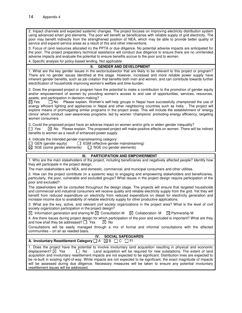2. Impact channels and expected systemic changes. The project focuses on improving electricity distribution system using advanced smart grid elements. The poor will benefit as beneficiaries with reliable supply of grid electricity. The poor may benefit indirectly from the strengthened position of NEA, which may be able to provide better quality of service and expand service areas as a result of this and other interventions.

3. Focus of (and resources allocated in) the PPTA or due diligence. No potential adverse impacts are anticipated for the poor. The project preparatory technical assistance will conduct due diligence to ensure there are no unintended adverse impacts and evaluate the potential to ensure benefits accrue to the poor and to women.

4. Specific analysis for policy-based lending. Not applicable.

#### **II. GENDER AND DEVELOPMENT**

1. What are the key gender issues in the sector/subsector that are likely to be relevant to this project or program? There are no gender issues identified at this stage. However, increased and more reliable power supply have inherent gender benefits, such as job creation that benefits both men and women, and can contribute towards further electrification of households improving women's welfare and time-burden.

2. Does the proposed project or program have the potential to make a contribution to the promotion of gender equity and/or empowerment of women by providing women's access to and use of opportunities, services, resources, assets, and participation in decision making?<br> $\boxtimes$  Yes  $\qquad \square$  No Please explain. Wome

 $\Box$  No Please explain. Women's self-help groups in Nepal have successfully championed the use of energy efficient lighting and appliances in Nepal and other neighboring countries such as India. . The project will explore means of promulgating similar programs in the project areas. This will include the establishment of 'energy clinics' which conduct user-awareness programs, led by women 'champions' promoting energy efficiency, targeting women consumers.

3. Could the proposed project have an adverse impact on women and/or girls or widen gender inequality?  $\Box$  Yes  $\boxtimes$  No Please explain. The proposed project will make positive effects on women. There will be indirect benefits to women as a result of enhanced power supply.

4. Indicate the intended gender mainstreaming category:

 $\Box$  GEN (gender equity)  $\Box$  EGM (effective gender mainstreaming)  $\boxtimes$  SGE (some gender elements)  $\Box$  NGE (no gender elements)

 $\Box$  NGE (no gender elements)

#### **III. PARTICIPATION AND EMPOWERMENT**

1. Who are the main stakeholders of the project, including beneficiaries and negatively affected people? Identify how they will participate in the project design.

The main stakeholders are NEA, and domestic, commercial, and municipal consumers and other utilities.

2. How can the project contribute (in a systemic way) to engaging and empowering stakeholders and beneficiaries, particularly, the poor, vulnerable and excluded groups? What issues in the project design require participation of the poor and excluded?

The stakeholders will be consulted throughout the design stage. The projects will ensure that targeted households and commercial and industrial consumers will receive quality and reliable electricity supply from the grid. Yet they will benefit from reduced expenditure on electricity from reduced expenditure on diesel for electricity generation and increase income due to availability of reliable electricity supply for other productive applications.

3. What are the key, active, and relevant civil society organizations in the project area? What is the level of civil society organization participation in the project design?

 $\boxtimes$  Information generation and sharing M  $\boxtimes$  Consultation M  $\boxtimes$  Collaboration M  $\boxtimes$  Partnership M

4. Are there issues during project design for which participation of the poor and excluded is important? What are they and how shall they be addressed?  $\Box$  Yes  $\Box$  No

Consultations will be easily managed through a mix of formal and informal consultations with the affected communities – on an as needed basis.

#### **IV. SOCIAL SAFEGUARDS A. Involuntary Resettlement Category**  $\Box$  A  $\Box$  B  $\Box$  C  $\Box$  FI

1. Does the project have the potential to involve involuntary land acquisition resulting in physical and economic displacement?  $\boxtimes$  Yes  $\Box$  No Land acquisition will be required for new substations. The extent of land acquisition and involuntary resettlement impacts are not expected to be significant. Distribution lines are expected to be re-built in existing right-of-way. While impacts are not expected to be significant, the exact magnitude of impacts will be assessed during due diligence. Necessary measures will be taken to ensure any potential involuntary resettlement issues will be addressed.